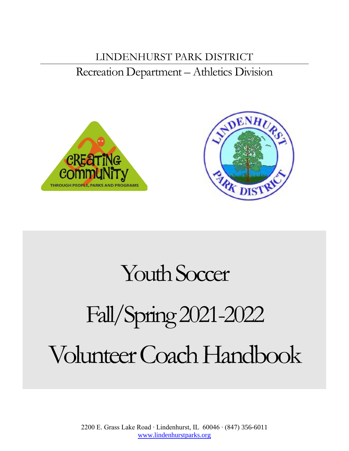# LINDENHURST PARK DISTRICT Recreation Department – Athletics Division





# Youth Soccer

# Fall/Spring2021-2022 Volunteer Coach Handbook

2200 E. Grass Lake Road ∙ Lindenhurst, IL 60046 ∙ (847) 356-6011 [www.lindenhurstparks.org](http://www.lindenhurstparks.org/)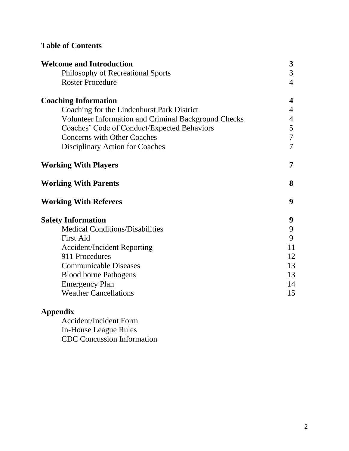# **Table of Contents**

| <b>Welcome and Introduction</b>                             | $\boldsymbol{3}$        |
|-------------------------------------------------------------|-------------------------|
| Philosophy of Recreational Sports                           | 3                       |
| <b>Roster Procedure</b>                                     | $\overline{4}$          |
| <b>Coaching Information</b>                                 | $\overline{\mathbf{4}}$ |
| Coaching for the Lindenhurst Park District                  | $\overline{4}$          |
| <b>Volunteer Information and Criminal Background Checks</b> | $\overline{4}$          |
| Coaches' Code of Conduct/Expected Behaviors                 | 5                       |
| <b>Concerns with Other Coaches</b>                          | $\overline{7}$          |
| Disciplinary Action for Coaches                             | $\tau$                  |
| <b>Working With Players</b>                                 | 7                       |
| <b>Working With Parents</b>                                 | 8                       |
| <b>Working With Referees</b>                                | 9                       |
| <b>Safety Information</b>                                   | 9                       |
| <b>Medical Conditions/Disabilities</b>                      | 9                       |
| <b>First Aid</b>                                            | 9                       |
| <b>Accident/Incident Reporting</b>                          | 11                      |
| 911 Procedures                                              | 12                      |
| <b>Communicable Diseases</b>                                | 13                      |
| <b>Blood borne Pathogens</b>                                | 13                      |
| <b>Emergency Plan</b>                                       | 14                      |
| <b>Weather Cancellations</b>                                | 15                      |
|                                                             |                         |

# **Appendix**

Accident/Incident Form In-House League Rules CDC Concussion Information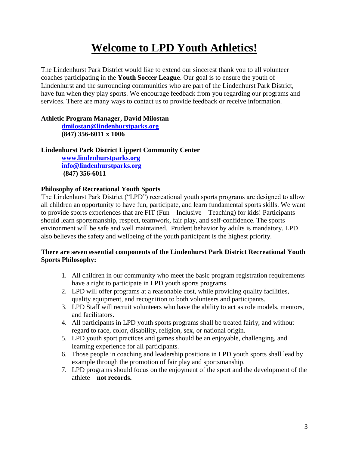# **Welcome to LPD Youth Athletics!**

The Lindenhurst Park District would like to extend our sincerest thank you to all volunteer coaches participating in the **Youth Soccer League**. Our goal is to ensure the youth of Lindenhurst and the surrounding communities who are part of the Lindenhurst Park District, have fun when they play sports. We encourage feedback from you regarding our programs and services. There are many ways to contact us to provide feedback or receive information.

# **Athletic Program Manager, David Milostan**

**[dmilostan@lindenhurstparks.org](mailto:dmilostan@lindenhurstparks.org) (847) 356-6011 x 1006**

# **Lindenhurst Park District Lippert Community Center**

**[www.lindenhurstparks.org](http://www.lindenhurstparks.org/) [info@lindenhurstparks.org](mailto:info@lindenhurstparks.org) (847) 356-6011**

# **Philosophy of Recreational Youth Sports**

The Lindenhurst Park District ("LPD") recreational youth sports programs are designed to allow all children an opportunity to have fun, participate, and learn fundamental sports skills. We want to provide sports experiences that are FIT (Fun – Inclusive – Teaching) for kids! Participants should learn sportsmanship, respect, teamwork, fair play, and self-confidence. The sports environment will be safe and well maintained. Prudent behavior by adults is mandatory. LPD also believes the safety and wellbeing of the youth participant is the highest priority.

# **There are seven essential components of the Lindenhurst Park District Recreational Youth Sports Philosophy:**

- 1. All children in our community who meet the basic program registration requirements have a right to participate in LPD youth sports programs.
- 2. LPD will offer programs at a reasonable cost, while providing quality facilities, quality equipment, and recognition to both volunteers and participants.
- 3. LPD Staff will recruit volunteers who have the ability to act as role models, mentors, and facilitators.
- 4. All participants in LPD youth sports programs shall be treated fairly, and without regard to race, color, disability, religion, sex, or national origin.
- 5. LPD youth sport practices and games should be an enjoyable, challenging, and learning experience for all participants.
- 6. Those people in coaching and leadership positions in LPD youth sports shall lead by example through the promotion of fair play and sportsmanship.
- 7. LPD programs should focus on the enjoyment of the sport and the development of the athlete – **not records.**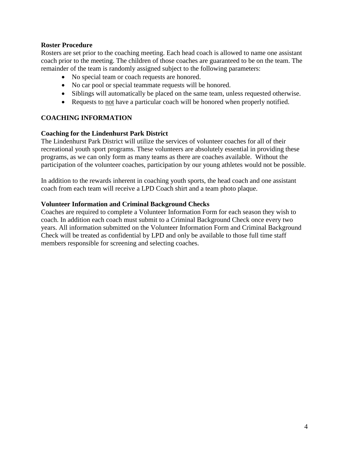#### **Roster Procedure**

Rosters are set prior to the coaching meeting. Each head coach is allowed to name one assistant coach prior to the meeting. The children of those coaches are guaranteed to be on the team. The remainder of the team is randomly assigned subject to the following parameters:

- No special team or coach requests are honored.
- No car pool or special teammate requests will be honored.
- Siblings will automatically be placed on the same team, unless requested otherwise.
- Requests to not have a particular coach will be honored when properly notified.

# **COACHING INFORMATION**

#### **Coaching for the Lindenhurst Park District**

The Lindenhurst Park District will utilize the services of volunteer coaches for all of their recreational youth sport programs. These volunteers are absolutely essential in providing these programs, as we can only form as many teams as there are coaches available. Without the participation of the volunteer coaches, participation by our young athletes would not be possible.

In addition to the rewards inherent in coaching youth sports, the head coach and one assistant coach from each team will receive a LPD Coach shirt and a team photo plaque.

#### **Volunteer Information and Criminal Background Checks**

Coaches are required to complete a Volunteer Information Form for each season they wish to coach. In addition each coach must submit to a Criminal Background Check once every two years. All information submitted on the Volunteer Information Form and Criminal Background Check will be treated as confidential by LPD and only be available to those full time staff members responsible for screening and selecting coaches.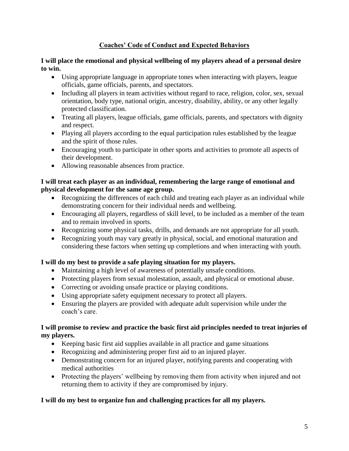# **Coaches' Code of Conduct and Expected Behaviors**

# **I will place the emotional and physical wellbeing of my players ahead of a personal desire to win.**

- Using appropriate language in appropriate tones when interacting with players, league officials, game officials, parents, and spectators.
- Including all players in team activities without regard to race, religion, color, sex, sexual orientation, body type, national origin, ancestry, disability, ability, or any other legally protected classification.
- Treating all players, league officials, game officials, parents, and spectators with dignity and respect.
- Playing all players according to the equal participation rules established by the league and the spirit of those rules.
- Encouraging youth to participate in other sports and activities to promote all aspects of their development.
- Allowing reasonable absences from practice.

# **I will treat each player as an individual, remembering the large range of emotional and physical development for the same age group.**

- Recognizing the differences of each child and treating each player as an individual while demonstrating concern for their individual needs and wellbeing.
- Encouraging all players, regardless of skill level, to be included as a member of the team and to remain involved in sports.
- Recognizing some physical tasks, drills, and demands are not appropriate for all youth.
- Recognizing youth may vary greatly in physical, social, and emotional maturation and considering these factors when setting up completions and when interacting with youth.

# **I will do my best to provide a safe playing situation for my players.**

- Maintaining a high level of awareness of potentially unsafe conditions.
- Protecting players from sexual molestation, assault, and physical or emotional abuse.
- Correcting or avoiding unsafe practice or playing conditions.
- Using appropriate safety equipment necessary to protect all players.
- Ensuring the players are provided with adequate adult supervision while under the coach's care.

# **I will promise to review and practice the basic first aid principles needed to treat injuries of my players.**

- Keeping basic first aid supplies available in all practice and game situations
- Recognizing and administering proper first aid to an injured player.
- Demonstrating concern for an injured player, notifying parents and cooperating with medical authorities
- Protecting the players' wellbeing by removing them from activity when injured and not returning them to activity if they are compromised by injury.

# **I will do my best to organize fun and challenging practices for all my players.**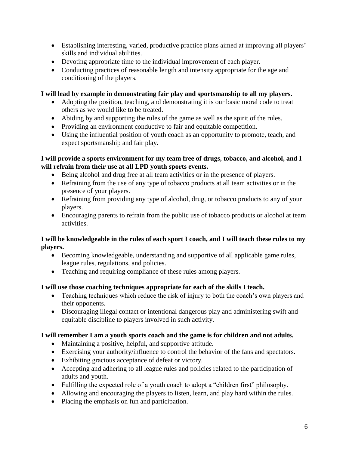- Establishing interesting, varied, productive practice plans aimed at improving all players' skills and individual abilities.
- Devoting appropriate time to the individual improvement of each player.
- Conducting practices of reasonable length and intensity appropriate for the age and conditioning of the players.

# **I will lead by example in demonstrating fair play and sportsmanship to all my players.**

- Adopting the position, teaching, and demonstrating it is our basic moral code to treat others as we would like to be treated.
- Abiding by and supporting the rules of the game as well as the spirit of the rules.
- Providing an environment conductive to fair and equitable competition.
- Using the influential position of youth coach as an opportunity to promote, teach, and expect sportsmanship and fair play.

#### **I will provide a sports environment for my team free of drugs, tobacco, and alcohol, and I will refrain from their use at all LPD youth sports events.**

- Being alcohol and drug free at all team activities or in the presence of players.
- Refraining from the use of any type of tobacco products at all team activities or in the presence of your players.
- Refraining from providing any type of alcohol, drug, or tobacco products to any of your players.
- Encouraging parents to refrain from the public use of tobacco products or alcohol at team activities.

# **I will be knowledgeable in the rules of each sport I coach, and I will teach these rules to my players.**

- Becoming knowledgeable, understanding and supportive of all applicable game rules, league rules, regulations, and policies.
- Teaching and requiring compliance of these rules among players.

# **I will use those coaching techniques appropriate for each of the skills I teach.**

- Teaching techniques which reduce the risk of injury to both the coach's own players and their opponents.
- Discouraging illegal contact or intentional dangerous play and administering swift and equitable discipline to players involved in such activity.

# **I will remember I am a youth sports coach and the game is for children and not adults.**

- Maintaining a positive, helpful, and supportive attitude.
- Exercising your authority/influence to control the behavior of the fans and spectators.
- Exhibiting gracious acceptance of defeat or victory.
- Accepting and adhering to all league rules and policies related to the participation of adults and youth.
- Fulfilling the expected role of a youth coach to adopt a "children first" philosophy.
- Allowing and encouraging the players to listen, learn, and play hard within the rules.
- Placing the emphasis on fun and participation.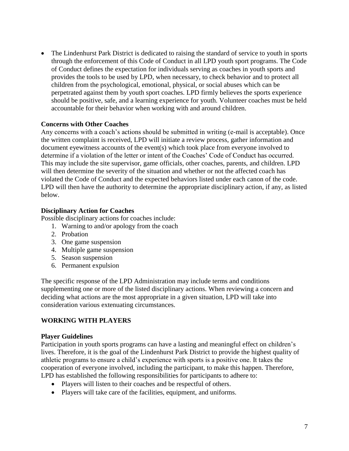• The Lindenhurst Park District is dedicated to raising the standard of service to youth in sports through the enforcement of this Code of Conduct in all LPD youth sport programs. The Code of Conduct defines the expectation for individuals serving as coaches in youth sports and provides the tools to be used by LPD, when necessary, to check behavior and to protect all children from the psychological, emotional, physical, or social abuses which can be perpetrated against them by youth sport coaches. LPD firmly believes the sports experience should be positive, safe, and a learning experience for youth. Volunteer coaches must be held accountable for their behavior when working with and around children.

#### **Concerns with Other Coaches**

Any concerns with a coach's actions should be submitted in writing (e-mail is acceptable). Once the written complaint is received, LPD will initiate a review process, gather information and document eyewitness accounts of the event(s) which took place from everyone involved to determine if a violation of the letter or intent of the Coaches' Code of Conduct has occurred. This may include the site supervisor, game officials, other coaches, parents, and children. LPD will then determine the severity of the situation and whether or not the affected coach has violated the Code of Conduct and the expected behaviors listed under each canon of the code. LPD will then have the authority to determine the appropriate disciplinary action, if any, as listed below.

#### **Disciplinary Action for Coaches**

Possible disciplinary actions for coaches include:

- 1. Warning to and/or apology from the coach
- 2. Probation
- 3. One game suspension
- 4. Multiple game suspension
- 5. Season suspension
- 6. Permanent expulsion

The specific response of the LPD Administration may include terms and conditions supplementing one or more of the listed disciplinary actions. When reviewing a concern and deciding what actions are the most appropriate in a given situation, LPD will take into consideration various extenuating circumstances.

# **WORKING WITH PLAYERS**

#### **Player Guidelines**

Participation in youth sports programs can have a lasting and meaningful effect on children's lives. Therefore, it is the goal of the Lindenhurst Park District to provide the highest quality of athletic programs to ensure a child's experience with sports is a positive one. It takes the cooperation of everyone involved, including the participant, to make this happen. Therefore, LPD has established the following responsibilities for participants to adhere to:

- Players will listen to their coaches and be respectful of others.
- Players will take care of the facilities, equipment, and uniforms.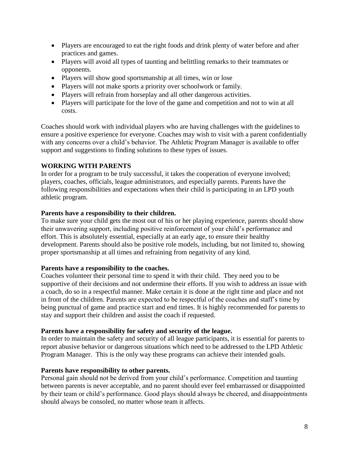- Players are encouraged to eat the right foods and drink plenty of water before and after practices and games.
- Players will avoid all types of taunting and belittling remarks to their teammates or opponents.
- Players will show good sportsmanship at all times, win or lose
- Players will not make sports a priority over schoolwork or family.
- Players will refrain from horseplay and all other dangerous activities.
- Players will participate for the love of the game and competition and not to win at all costs.

Coaches should work with individual players who are having challenges with the guidelines to ensure a positive experience for everyone. Coaches may wish to visit with a parent confidentially with any concerns over a child's behavior. The Athletic Program Manager is available to offer support and suggestions to finding solutions to these types of issues.

# **WORKING WITH PARENTS**

In order for a program to be truly successful, it takes the cooperation of everyone involved; players, coaches, officials, league administrators, and especially parents. Parents have the following responsibilities and expectations when their child is participating in an LPD youth athletic program.

# **Parents have a responsibility to their children.**

To make sure your child gets the most out of his or her playing experience, parents should show their unwavering support, including positive reinforcement of your child's performance and effort. This is absolutely essential, especially at an early age, to ensure their healthy development. Parents should also be positive role models, including, but not limited to, showing proper sportsmanship at all times and refraining from negativity of any kind.

# **Parents have a responsibility to the coaches.**

Coaches volunteer their personal time to spend it with their child. They need you to be supportive of their decisions and not undermine their efforts. If you wish to address an issue with a coach, do so in a respectful manner. Make certain it is done at the right time and place and not in front of the children. Parents are expected to be respectful of the coaches and staff's time by being punctual of game and practice start and end times. It is highly recommended for parents to stay and support their children and assist the coach if requested.

# **Parents have a responsibility for safety and security of the league.**

In order to maintain the safety and security of all league participants, it is essential for parents to report abusive behavior or dangerous situations which need to be addressed to the LPD Athletic Program Manager. This is the only way these programs can achieve their intended goals.

#### **Parents have responsibility to other parents.**

Personal gain should not be derived from your child's performance. Competition and taunting between parents is never acceptable, and no parent should ever feel embarrassed or disappointed by their team or child's performance. Good plays should always be cheered, and disappointments should always be consoled, no matter whose team it affects.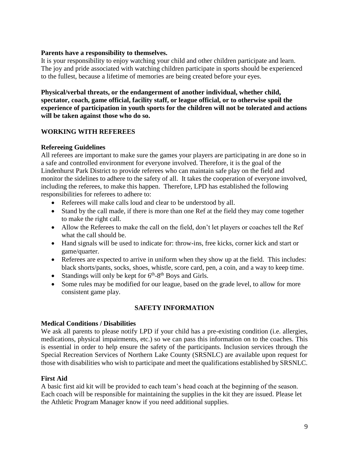#### **Parents have a responsibility to themselves.**

It is your responsibility to enjoy watching your child and other children participate and learn. The joy and pride associated with watching children participate in sports should be experienced to the fullest, because a lifetime of memories are being created before your eyes.

**Physical/verbal threats, or the endangerment of another individual, whether child, spectator, coach, game official, facility staff, or league official, or to otherwise spoil the experience of participation in youth sports for the children will not be tolerated and actions will be taken against those who do so.**

# **WORKING WITH REFEREES**

# **Refereeing Guidelines**

All referees are important to make sure the games your players are participating in are done so in a safe and controlled environment for everyone involved. Therefore, it is the goal of the Lindenhurst Park District to provide referees who can maintain safe play on the field and monitor the sidelines to adhere to the safety of all. It takes the cooperation of everyone involved, including the referees, to make this happen. Therefore, LPD has established the following responsibilities for referees to adhere to:

- Referees will make calls loud and clear to be understood by all.
- Stand by the call made, if there is more than one Ref at the field they may come together to make the right call.
- Allow the Referees to make the call on the field, don't let players or coaches tell the Ref what the call should be.
- Hand signals will be used to indicate for: throw-ins, free kicks, corner kick and start or game/quarter.
- Referees are expected to arrive in uniform when they show up at the field. This includes: black shorts/pants, socks, shoes, whistle, score card, pen, a coin, and a way to keep time.
- Standings will only be kept for  $6<sup>th</sup>-8<sup>th</sup>$  Boys and Girls.
- Some rules may be modified for our league, based on the grade level, to allow for more consistent game play.

# **SAFETY INFORMATION**

# **Medical Conditions / Disabilities**

We ask all parents to please notify LPD if your child has a pre-existing condition (i.e. allergies, medications, physical impairments, etc.) so we can pass this information on to the coaches. This is essential in order to help ensure the safety of the participants. Inclusion services through the Special Recreation Services of Northern Lake County (SRSNLC) are available upon request for those with disabilities who wish to participate and meet the qualifications established by SRSNLC.

# **First Aid**

A basic first aid kit will be provided to each team's head coach at the beginning of the season. Each coach will be responsible for maintaining the supplies in the kit they are issued. Please let the Athletic Program Manager know if you need additional supplies.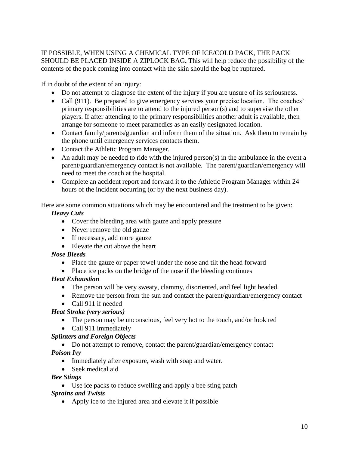IF POSSIBLE, WHEN USING A CHEMICAL TYPE OF ICE/COLD PACK, THE PACK SHOULD BE PLACED INSIDE A ZIPLOCK BAG**.** This will help reduce the possibility of the contents of the pack coming into contact with the skin should the bag be ruptured.

If in doubt of the extent of an injury:

- Do not attempt to diagnose the extent of the injury if you are unsure of its seriousness.
- Call (911). Be prepared to give emergency services your precise location. The coaches' primary responsibilities are to attend to the injured person(s) and to supervise the other players. If after attending to the primary responsibilities another adult is available, then arrange for someone to meet paramedics as an easily designated location.
- Contact family/parents/guardian and inform them of the situation. Ask them to remain by the phone until emergency services contacts them.
- Contact the Athletic Program Manager.
- An adult may be needed to ride with the injured person(s) in the ambulance in the event a parent/guardian/emergency contact is not available. The parent/guardian/emergency will need to meet the coach at the hospital.
- Complete an accident report and forward it to the Athletic Program Manager within 24 hours of the incident occurring (or by the next business day).

Here are some common situations which may be encountered and the treatment to be given: *Heavy Cuts*

- Cover the bleeding area with gauze and apply pressure
- Never remove the old gauze
- If necessary, add more gauze
- Elevate the cut above the heart

# *Nose Bleeds*

- Place the gauze or paper towel under the nose and tilt the head forward
- Place ice packs on the bridge of the nose if the bleeding continues

# *Heat Exhaustion*

- The person will be very sweaty, clammy, disoriented, and feel light headed.
- Remove the person from the sun and contact the parent/guardian/emergency contact
- Call 911 if needed

# *Heat Stroke (very serious)*

- The person may be unconscious, feel very hot to the touch, and/or look red
- Call 911 immediately

# *Splinters and Foreign Objects*

- Do not attempt to remove, contact the parent/guardian/emergency contact *Poison Ivy*
	- Immediately after exposure, wash with soap and water.
	- Seek medical aid

# *Bee Stings*

Use ice packs to reduce swelling and apply a bee sting patch

# *Sprains and Twists*

Apply ice to the injured area and elevate it if possible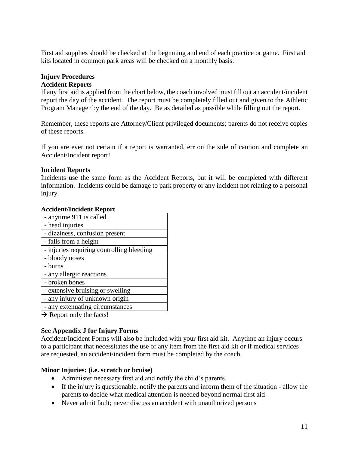First aid supplies should be checked at the beginning and end of each practice or game. First aid kits located in common park areas will be checked on a monthly basis.

#### **Injury Procedures Accident Reports**

If any first aid is applied from the chart below, the coach involved must fill out an accident/incident

report the day of the accident. The report must be completely filled out and given to the Athletic Program Manager by the end of the day. Be as detailed as possible while filling out the report.

Remember, these reports are Attorney/Client privileged documents; parents do not receive copies of these reports.

If you are ever not certain if a report is warranted, err on the side of caution and complete an Accident/Incident report!

#### **Incident Reports**

Incidents use the same form as the Accident Reports, but it will be completed with different information. Incidents could be damage to park property or any incident not relating to a personal injury.

#### **Accident/Incident Report**

| echteny mentent nepot t                   |
|-------------------------------------------|
| - anytime 911 is called                   |
| - head injuries                           |
| - dizziness, confusion present            |
| - falls from a height                     |
| - injuries requiring controlling bleeding |
| - bloody noses                            |
| - burns                                   |
| - any allergic reactions                  |
| - broken bones                            |
|                                           |
| - extensive bruising or swelling          |
| - any injury of unknown origin            |
| - any extenuating circumstances           |

 $\rightarrow$  Report only the facts!

# **See Appendix J for Injury Forms**

Accident/Incident Forms will also be included with your first aid kit. Anytime an injury occurs to a participant that necessitates the use of any item from the first aid kit or if medical services are requested, an accident/incident form must be completed by the coach.

# **Minor Injuries: (i.e. scratch or bruise)**

- Administer necessary first aid and notify the child's parents.
- If the injury is questionable, notify the parents and inform them of the situation allow the parents to decide what medical attention is needed beyond normal first aid
- Never admit fault; never discuss an accident with unauthorized persons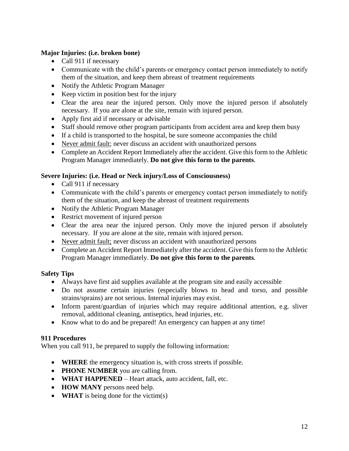# **Major Injuries: (i.e. broken bone)**

- Call 911 if necessary
- Communicate with the child's parents or emergency contact person immediately to notify them of the situation, and keep them abreast of treatment requirements
- Notify the Athletic Program Manager
- Keep victim in position best for the injury
- Clear the area near the injured person. Only move the injured person if absolutely necessary. If you are alone at the site, remain with injured person.
- Apply first aid if necessary or advisable
- Staff should remove other program participants from accident area and keep them busy
- If a child is transported to the hospital, be sure someone accompanies the child
- Never admit fault; never discuss an accident with unauthorized persons
- Complete an Accident Report Immediately after the accident. Give this form to the Athletic Program Manager immediately. **Do not give this form to the parents**.

# **Severe Injuries: (i.e. Head or Neck injury/Loss of Consciousness)**

- Call 911 if necessary
- Communicate with the child's parents or emergency contact person immediately to notify them of the situation, and keep the abreast of treatment requirements
- Notify the Athletic Program Manager
- Restrict movement of injured person
- Clear the area near the injured person. Only move the injured person if absolutely necessary. If you are alone at the site, remain with injured person.
- Never admit fault; never discuss an accident with unauthorized persons
- Complete an Accident Report Immediately after the accident. Give this form to the Athletic Program Manager immediately. **Do not give this form to the parents**.

# **Safety Tips**

- Always have first aid supplies available at the program site and easily accessible
- Do not assume certain injuries (especially blows to head and torso, and possible strains/sprains) are not serious. Internal injuries may exist.
- Inform parent/guardian of injuries which may require additional attention, e.g. sliver removal, additional cleaning, antiseptics, head injuries, etc.
- Know what to do and be prepared! An emergency can happen at any time!

# **911 Procedures**

When you call 911, be prepared to supply the following information:

- **WHERE** the emergency situation is, with cross streets if possible.
- **PHONE NUMBER** you are calling from.
- **WHAT HAPPENED** Heart attack, auto accident, fall, etc.
- **HOW MANY** persons need help.
- **WHAT** is being done for the victim(s)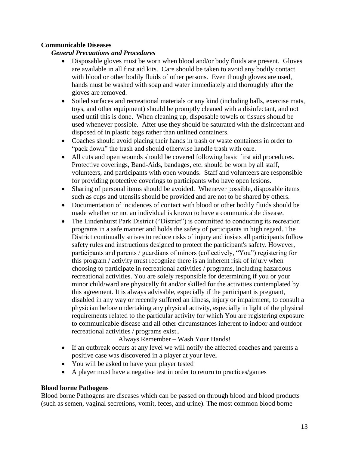# **Communicable Diseases**

# *General Precautions and Procedures*

- Disposable gloves must be worn when blood and/or body fluids are present. Gloves are available in all first aid kits. Care should be taken to avoid any bodily contact with blood or other bodily fluids of other persons. Even though gloves are used, hands must be washed with soap and water immediately and thoroughly after the gloves are removed.
- Soiled surfaces and recreational materials or any kind (including balls, exercise mats, toys, and other equipment) should be promptly cleaned with a disinfectant, and not used until this is done. When cleaning up, disposable towels or tissues should be used whenever possible. After use they should be saturated with the disinfectant and disposed of in plastic bags rather than unlined containers.
- Coaches should avoid placing their hands in trash or waste containers in order to "pack down" the trash and should otherwise handle trash with care.
- All cuts and open wounds should be covered following basic first aid procedures. Protective coverings, Band-Aids, bandages, etc. should be worn by all staff, volunteers, and participants with open wounds. Staff and volunteers are responsible for providing protective coverings to participants who have open lesions.
- Sharing of personal items should be avoided. Whenever possible, disposable items such as cups and utensils should be provided and are not to be shared by others.
- Documentation of incidences of contact with blood or other bodily fluids should be made whether or not an individual is known to have a communicable disease.
- The Lindenhurst Park District ("District") is committed to conducting its recreation programs in a safe manner and holds the safety of participants in high regard. The District continually strives to reduce risks of injury and insists all participants follow safety rules and instructions designed to protect the participant's safety. However, participants and parents / guardians of minors (collectively, "You") registering for this program / activity must recognize there is an inherent risk of injury when choosing to participate in recreational activities / programs, including hazardous recreational activities. You are solely responsible for determining if you or your minor child/ward are physically fit and/or skilled for the activities contemplated by this agreement. It is always advisable, especially if the participant is pregnant, disabled in any way or recently suffered an illness, injury or impairment, to consult a physician before undertaking any physical activity, especially in light of the physical requirements related to the particular activity for which You are registering exposure to communicable disease and all other circumstances inherent to indoor and outdoor recreational activities / programs exist..

Always Remember – Wash Your Hands!

- If an outbreak occurs at any level we will notify the affected coaches and parents a positive case was discovered in a player at your level
- You will be asked to have your player tested
- A player must have a negative test in order to return to practices/games

# **Blood borne Pathogens**

Blood borne Pathogens are diseases which can be passed on through blood and blood products (such as semen, vaginal secretions, vomit, feces, and urine). The most common blood borne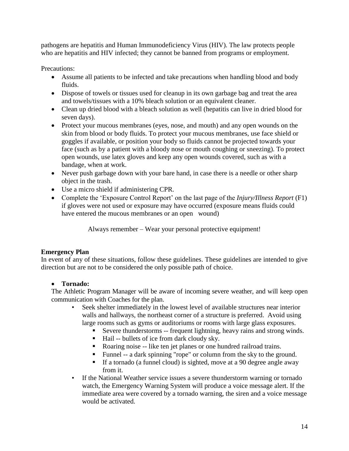pathogens are hepatitis and Human Immunodeficiency Virus (HIV). The law protects people who are hepatitis and HIV infected; they cannot be banned from programs or employment.

Precautions:

- Assume all patients to be infected and take precautions when handling blood and body fluids.
- Dispose of towels or tissues used for cleanup in its own garbage bag and treat the area and towels/tissues with a 10% bleach solution or an equivalent cleaner.
- Clean up dried blood with a bleach solution as well (hepatitis can live in dried blood for seven days).
- Protect your mucous membranes (eyes, nose, and mouth) and any open wounds on the skin from blood or body fluids. To protect your mucous membranes, use face shield or goggles if available, or position your body so fluids cannot be projected towards your face (such as by a patient with a bloody nose or mouth coughing or sneezing). To protect open wounds, use latex gloves and keep any open wounds covered, such as with a bandage, when at work.
- Never push garbage down with your bare hand, in case there is a needle or other sharp object in the trash.
- Use a micro shield if administering CPR.
- Complete the 'Exposure Control Report' on the last page of the *Injury/Illness Report* (F1) if gloves were not used or exposure may have occurred (exposure means fluids could have entered the mucous membranes or an open wound)

Always remember – Wear your personal protective equipment!

# **Emergency Plan**

In event of any of these situations, follow these guidelines. These guidelines are intended to give direction but are not to be considered the only possible path of choice.

# **Tornado:**

The Athletic Program Manager will be aware of incoming severe weather, and will keep open communication with Coaches for the plan.

- Seek shelter immediately in the lowest level of available structures near interior walls and hallways, the northeast corner of a structure is preferred. Avoid using large rooms such as gyms or auditoriums or rooms with large glass exposures.
	- Severe thunderstorms -- frequent lightning, heavy rains and strong winds.
	- Hail -- bullets of ice from dark cloudy sky.
	- Roaring noise -- like ten jet planes or one hundred railroad trains.
	- Funnel -- a dark spinning "rope" or column from the sky to the ground.
	- If a tornado (a funnel cloud) is sighted, move at a 90 degree angle away from it.
- If the National Weather service issues a severe thunderstorm warning or tornado watch, the Emergency Warning System will produce a voice message alert. If the immediate area were covered by a tornado warning, the siren and a voice message would be activated.